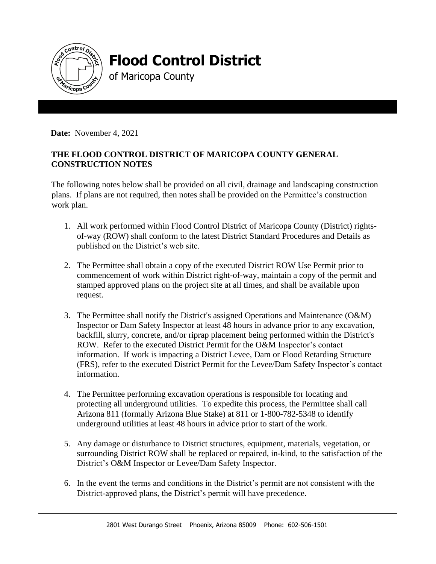

## **Flood Control District**

of Maricopa County

**Date:** November 4, 2021

## **THE FLOOD CONTROL DISTRICT OF MARICOPA COUNTY GENERAL CONSTRUCTION NOTES**

The following notes below shall be provided on all civil, drainage and landscaping construction plans. If plans are not required, then notes shall be provided on the Permittee's construction work plan.

- 1. All work performed within Flood Control District of Maricopa County (District) rightsof-way (ROW) shall conform to the latest District Standard Procedures and Details as published on the District's web site.
- 2. The Permittee shall obtain a copy of the executed District ROW Use Permit prior to commencement of work within District right-of-way, maintain a copy of the permit and stamped approved plans on the project site at all times, and shall be available upon request.
- 3. The Permittee shall notify the District's assigned Operations and Maintenance (O&M) Inspector or Dam Safety Inspector at least 48 hours in advance prior to any excavation, backfill, slurry, concrete, and/or riprap placement being performed within the District's ROW. Refer to the executed District Permit for the O&M Inspector's contact information. If work is impacting a District Levee, Dam or Flood Retarding Structure (FRS), refer to the executed District Permit for the Levee/Dam Safety Inspector's contact information.
- 4. The Permittee performing excavation operations is responsible for locating and protecting all underground utilities. To expedite this process, the Permittee shall call Arizona 811 (formally Arizona Blue Stake) at 811 or 1-800-782-5348 to identify underground utilities at least 48 hours in advice prior to start of the work.
- 5. Any damage or disturbance to District structures, equipment, materials, vegetation, or surrounding District ROW shall be replaced or repaired, in-kind, to the satisfaction of the District's O&M Inspector or Levee/Dam Safety Inspector.
- 6. In the event the terms and conditions in the District's permit are not consistent with the District-approved plans, the District's permit will have precedence.